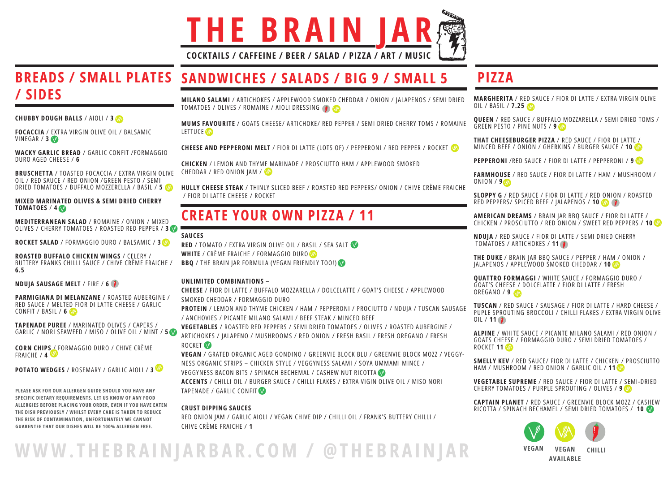MUMS FAVOURITE / GOATS CHEESE/ ARTICHOKE/ RED PEPPER / SEMI DRIED CHERRY TOMS / ROMAINE LETTUCE **VA** 

MILANO SALAMI / ARTICHOKES / APPLEWOOD SMOKED CHEDDAR / ONION / JALAPENOS / SEMI DRIED TOMATOES / OLIVES / ROMAINE / AIOLI DRESSING

CHICKEN / LEMON AND THYME MARINADE / PROSCIUTTO HAM / APPLEWOOD SMOKED CHEDDAR / RED ONION JAM / VA

CHEESE AND PEPPERONI MELT / FIOR DI LATTE (LOTS OF) / PEPPERONI / RED PEPPER / ROCKET

HULLY CHEESE STEAK / THINLY SLICED BEEF / ROASTED RED PEPPERS/ ONION / CHIVE CRÈME FRAICHE / FIOR DI LATTE CHEESE / ROCKET

VEGETABLES / ROASTED RED PEPPERS / SEMI DRIED TOMATOES / OLIVES / ROASTED AUBERGINE / ARTICHOKES / JALAPENO / MUSHROOMS / RED ONION / FRESH BASIL / FRESH OREGANO / FRESH ROCKET<sup>V</sup>

## CREATE YOUR OWN PIZZA / 11

#### SAUCES

RED / TOMATO / EXTRA VIRGIN OLIVE OIL / BASIL / SEA SALT WHITE / CRÈME FRAICHE / FORMAGGIO DURO **BBQ** / THE BRAIN JAR FORMULA (VEGAN FRIENDLY TOO!)

### UNLIMITED COMBINATIONS –

CHEESE / FIOR DI LATTE / BUFFALO MOZZARELLA / DOLCELATTE / GOAT'S CHEESE / APPLEWOOD SMOKED CHEDDAR / FORMAGGIO DURO

## BREADS / SMALL PLATES SANDWICHES / SALADS / BIG 9 / SMALL 5 / SIDES

FOCACCIA / EXTRA VIRGIN OLIVE OIL / BALSAMIC VINEGAR / 3

BRUSCHETTA / TOASTED FOCACCIA / EXTRA VIRGIN OLIVE OIL / RED SAUCE / RED ONION /GREEN PESTO / SEMI DRIED TOMATOES / BUFFALO MOZZERELLA / BASIL / 5

> PROTEIN / LEMON AND THYME CHICKEN / HAM / PEPPERONI / PROCIUTTO / NDUJA / TUSCAN SAUSAGE / ANCHOVIES / PICANTE MILANO SALAMI / BEEF STEAK / MINCED BEEF

#### MIXED MARINATED OLIVES & SEMI DRIED CHERRY TOMATOES /  $4\sqrt{ }$

CORN CHIPS / FORMAGGIO DURO / CHIVE CRÈME FRAICHE / 4

POTATO WEDGES / ROSEMARY / GARLIC AIOLI / 3

VEGAN / GRATED ORGANIC AGED GONDINO / GREENVIE BLOCK BLU / GREENVIE BLOCK MOZZ / VEGGY-NESS ORGANIC STRIPS – CHICKEN STYLE / VEGGYNESS SALAMI / SOYA UMMAMI MINCE / VEGGYNESS BACON BITS / SPINACH BECHEMAL / CASHEW NUT RICOTTA ACCENTS / CHILLI OIL / BURGER SAUCE / CHILLI FLAKES / EXTRA VIGIN OLIVE OIL / MISO NORI TAPENADE / GARLIC CONFIT

- MARGHERITA / RED SAUCE / FIOR DI LATTE / EXTRA VIRGIN OLIVE OIL / BASIL / 7.25
- QUEEN / RED SAUCE / BUFFALO MOZZARELLA / SEMI DRIED TOMS / GREEN PESTO / PINE NUTS / 9
- THAT CHEESEBURGER PIZZA / RED SAUCE / FIOR DI LATTE / MINCED BEEF / ONION / GHERKINS / BURGER SAUCE / 10
- PEPPERONI /RED SAUCE / FIOR DI LATTE / PEPPERONI / 9
- FARMHOUSE / RED SAUCE / FIOR DI LATTE / HAM / MUSHROOM /
- SLOPPY G / RED SAUCE / FIOR DI LATTE / RED ONION / ROASTED RED PEPPERS/ SPICED BEEF / JALAPENOS / 10
- AMERICAN DREAMS / BRAIN JAR BBQ SAUCE / FIOR DI LATTE / CHICKEN / PROSCIUTTO / RED ONION / SWEET RED PEPPERS / 10
- NDUJA / RED SAUCE / FIOR DI LATTE / SEMI DRIED CHERRY TOMATOES / ARTICHOKES / 11
- THE DUKE / BRAIN JAR BBQ SAUCE / PEPPER / HAM / ONION / JALAPENOS / APPLEWOOD SMOKED CHEDDAR / 10
- QUATTRO FORMAGGI / WHITE SAUCE / FORMAGGIO DURO / GOAT'S CHEESE / DOLCELATTE / FIOR DI LATTE / FRESH
- TUSCAN / RED SAUCE / SAUSAGE / FIOR DI LATTE / HARD CHEESE / PUPLE SPROUTING BROCCOLI / CHILLI FLAKES / EXTRA VIRGIN OLIVE
- ALPINE / WHITE SAUCE / PICANTE MILANO SALAMI / RED ONION / GOATS CHEESE / FORMAGGIO DURO / SEMI DRIED TOMATOES /
- SMELLY KEV / RED SAUCE/ FIOR DI LATTE / CHICKEN / PROSCIUTTO HAM / MUSHROOM / RED ONION / GARLIC OIL / 11
- VEGETABLE SUPREME / RED SAUCE / FIOR DI LATTE / SEMI-DRIED CHERRY TOMATOES / PURPLE SPROUTING / OLIVES / 9
- CAPTAIN PLANET / RED SAUCE / GREENVIE BLOCK MOZZ / CASHEW RICOTTA / SPINACH BECHAMEL / SEMI DRIED TOMATOES / 10







### CRUST DIPPING SAUCES

RED ONION JAM / GARLIC AIOLI / VEGAN CHIVE DIP / CHILLI OIL / FRANK'S BUTTERY CHILLI / CHIVE CRÈME FRAICHE / 1

CHUBBY DOUGH BALLS / AIOLI / 3

WACKY GARLIC BREAD / GARLIC CONFIT /FORMAGGIO DURO AGED CHEESE / 6

MEDITERRANEAN SALAD / ROMAINE / ONION / MIXED OLIVES / CHERRY TOMATOES / ROASTED RED PEPPER / 3

ROCKET SALAD / FORMAGGIO DURO / BALSAMIC / 3

ROASTED BUFFALO CHICKEN WINGS / CELERY / BUTTERY FRANKS CHILLI SAUCE / CHIVE CRÈME FRAICHE / 6.5

NDUJA SAUSAGE MELT / FIRE / 6

PARMIGIANA DI MELANZANE / ROASTED AUBERGINE / RED SAUCE / MELTED FIOR DI LATTE CHEESE / GARLIC CONFIT / BASIL / 6

TAPENADE PUREE / MARINATED OLIVES / CAPERS / GARLIC / NORI SEAWEED / MISO / OLIVE OIL / MINT / 5

# **THE BRAIN**

COCKTAILS / CAFFEINE / BEER / SALAD / PIZZA / ART / MUSIC



## PIZZA

ONION / 9

OREGANO / 9

 $OIL / 11 (9)$ 

ROCKET 11

PLEASE ASK FOR OUR ALLERGEN GUIDE SHOULD YOU HAVE ANY SPECIFIC DIETARY REQUIREMENTS. LET US KNOW OF ANY FOOD ALLERGIES BEFORE PLACING YOUR ORDER, EVEN IF YOU HAVE EATEN THE DISH PREVIOUSLY / WHILST EVERY CARE IS TAKEN TO REDUCE THE RISK OF CONTAMINATION, UNFORTUNATELY WE CANNOT GUARENTEE THAT OUR DISHES WILL BE 100% ALLERGEN FREE.

VEGAN VEGAN

AVAILABLE

CHILLI